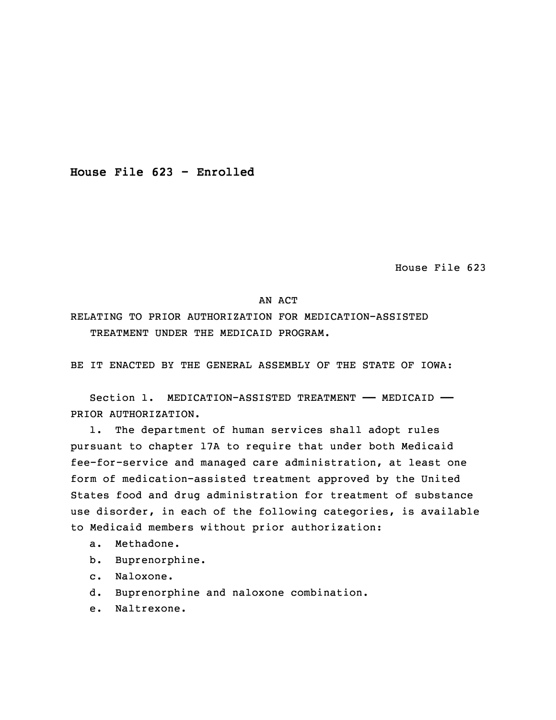**House File 623 - Enrolled**

House File 623

## AN ACT

RELATING TO PRIOR AUTHORIZATION FOR MEDICATION-ASSISTED TREATMENT UNDER THE MEDICAID PROGRAM.

BE IT ENACTED BY THE GENERAL ASSEMBLY OF THE STATE OF IOWA:

Section 1. MEDICATION-ASSISTED TREATMENT - MEDICAID -PRIOR AUTHORIZATION.

1. The department of human services shall adopt rules pursuant to chapter 17A to require that under both Medicaid 5 fee-for-service and managed care administration, at least one form of medication-assisted treatment approved by the United States food and drug administration for treatment of substance use disorder, in each of the following categories, is available to Medicaid members without prior authorization:

- a. Methadone.
- b. Buprenorphine.
- c. Naloxone.
- d. Buprenorphine and naloxone combination.
- e. Naltrexone.